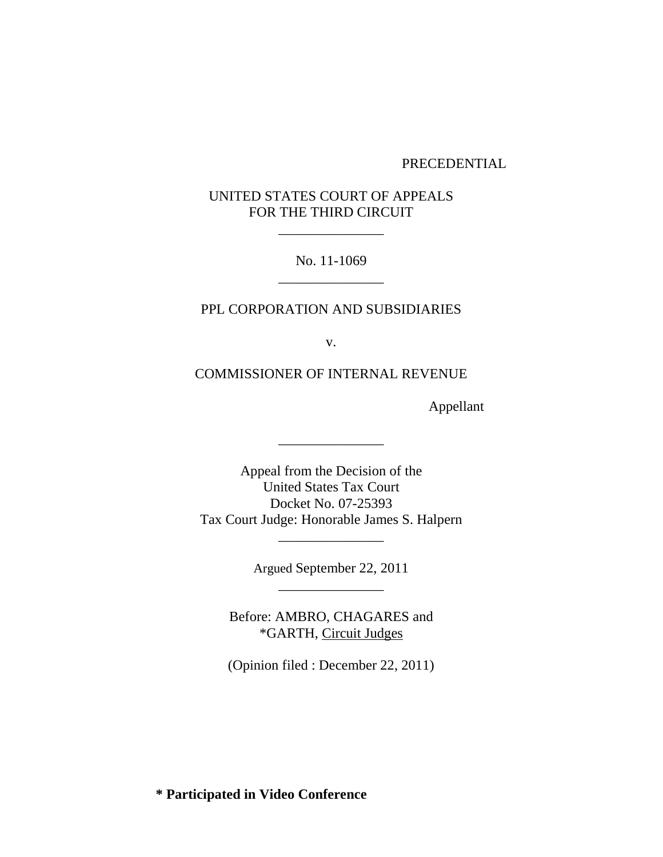#### PRECEDENTIAL

# UNITED STATES COURT OF APPEALS FOR THE THIRD CIRCUIT

\_\_\_\_\_\_\_\_\_\_\_\_\_\_\_

No. 11-1069 \_\_\_\_\_\_\_\_\_\_\_\_\_\_\_

### PPL CORPORATION AND SUBSIDIARIES

v.

COMMISSIONER OF INTERNAL REVENUE

Appellant

Appeal from the Decision of the United States Tax Court Docket No. 07-25393 Tax Court Judge: Honorable James S. Halpern

\_\_\_\_\_\_\_\_\_\_\_\_\_\_\_

Argued September 22, 2011 \_\_\_\_\_\_\_\_\_\_\_\_\_\_\_

\_\_\_\_\_\_\_\_\_\_\_\_\_\_\_

Before: AMBRO, CHAGARES and \*GARTH, Circuit Judges

(Opinion filed : December 22, 2011)

**\* Participated in Video Conference**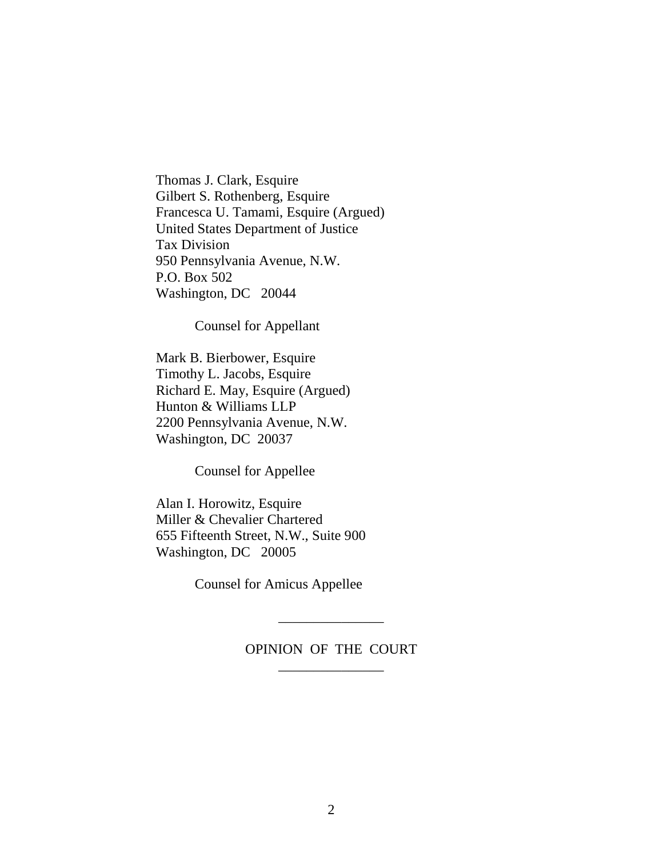Thomas J. Clark, Esquire Gilbert S. Rothenberg, Esquire Francesca U. Tamami, Esquire (Argued) United States Department of Justice Tax Division 950 Pennsylvania Avenue, N.W. P.O. Box 502 Washington, DC 20044

Counsel for Appellant

Mark B. Bierbower, Esquire Timothy L. Jacobs, Esquire Richard E. May, Esquire (Argued) Hunton & Williams LLP 2200 Pennsylvania Avenue, N.W. Washington, DC 20037

Counsel for Appellee

Alan I. Horowitz, Esquire Miller & Chevalier Chartered 655 Fifteenth Street, N.W., Suite 900 Washington, DC 20005

Counsel for Amicus Appellee

# OPINION OF THE COURT \_\_\_\_\_\_\_\_\_\_\_\_\_\_\_

\_\_\_\_\_\_\_\_\_\_\_\_\_\_\_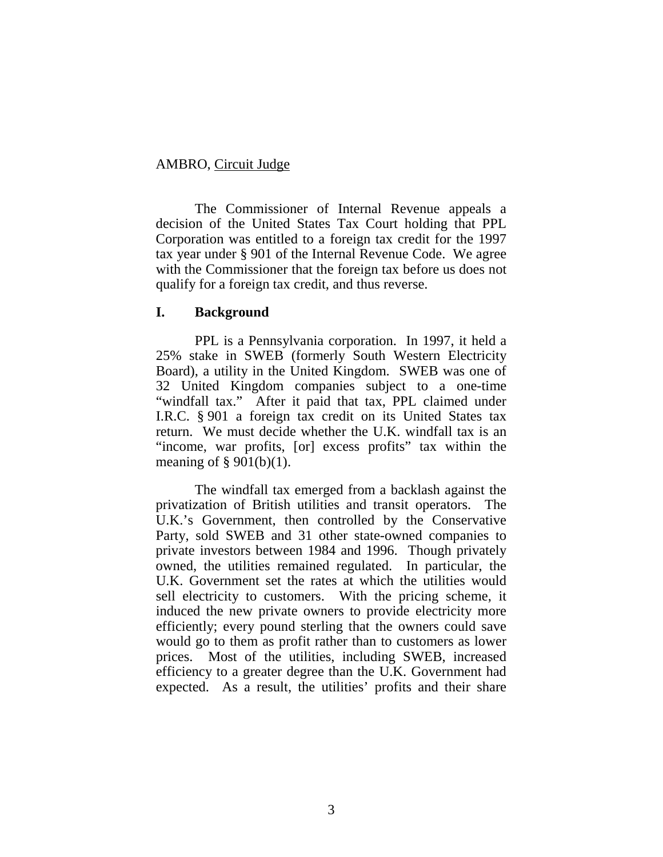### AMBRO, Circuit Judge

The Commissioner of Internal Revenue appeals a decision of the United States Tax Court holding that PPL Corporation was entitled to a foreign tax credit for the 1997 tax year under § 901 of the Internal Revenue Code. We agree with the Commissioner that the foreign tax before us does not qualify for a foreign tax credit, and thus reverse.

## **I. Background**

PPL is a Pennsylvania corporation. In 1997, it held a 25% stake in SWEB (formerly South Western Electricity Board), a utility in the United Kingdom. SWEB was one of 32 United Kingdom companies subject to a one-time "windfall tax." After it paid that tax, PPL claimed under I.R.C. § 901 a foreign tax credit on its United States tax return. We must decide whether the U.K. windfall tax is an "income, war profits, [or] excess profits" tax within the meaning of  $\S$  901(b)(1).

The windfall tax emerged from a backlash against the privatization of British utilities and transit operators. The U.K.'s Government, then controlled by the Conservative Party, sold SWEB and 31 other state-owned companies to private investors between 1984 and 1996. Though privately owned, the utilities remained regulated. In particular, the U.K. Government set the rates at which the utilities would sell electricity to customers. With the pricing scheme, it induced the new private owners to provide electricity more efficiently; every pound sterling that the owners could save would go to them as profit rather than to customers as lower prices. Most of the utilities, including SWEB, increased efficiency to a greater degree than the U.K. Government had expected. As a result, the utilities' profits and their share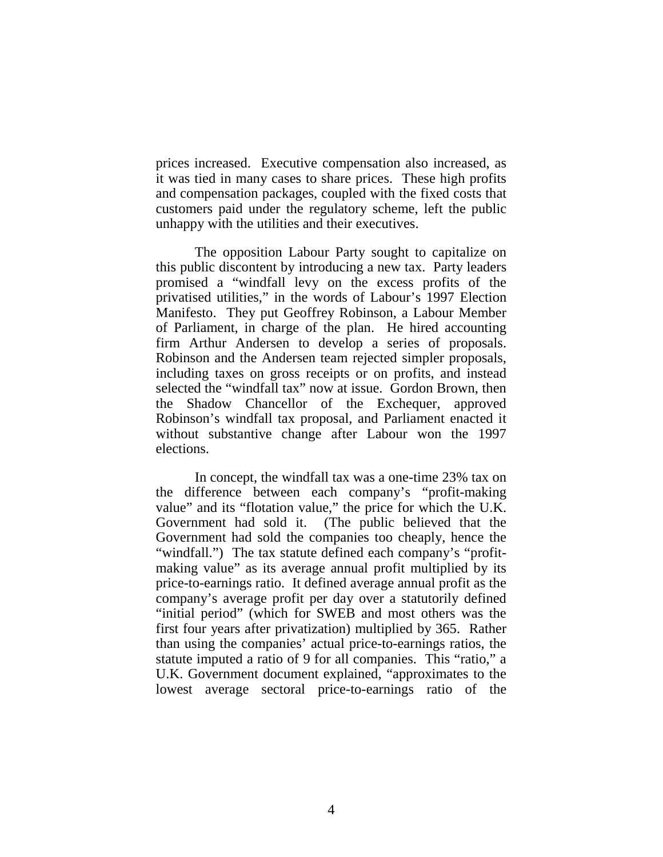prices increased. Executive compensation also increased, as it was tied in many cases to share prices. These high profits and compensation packages, coupled with the fixed costs that customers paid under the regulatory scheme, left the public unhappy with the utilities and their executives.

The opposition Labour Party sought to capitalize on this public discontent by introducing a new tax. Party leaders promised a "windfall levy on the excess profits of the privatised utilities," in the words of Labour's 1997 Election Manifesto. They put Geoffrey Robinson, a Labour Member of Parliament, in charge of the plan. He hired accounting firm Arthur Andersen to develop a series of proposals. Robinson and the Andersen team rejected simpler proposals, including taxes on gross receipts or on profits, and instead selected the "windfall tax" now at issue. Gordon Brown, then the Shadow Chancellor of the Exchequer, approved Robinson's windfall tax proposal, and Parliament enacted it without substantive change after Labour won the 1997 elections.

 In concept, the windfall tax was a one-time 23% tax on the difference between each company's "profit-making value" and its "flotation value," the price for which the U.K. Government had sold it. (The public believed that the Government had sold the companies too cheaply, hence the "windfall.") The tax statute defined each company's "profitmaking value" as its average annual profit multiplied by its price-to-earnings ratio. It defined average annual profit as the company's average profit per day over a statutorily defined "initial period" (which for SWEB and most others was the first four years after privatization) multiplied by 365. Rather than using the companies' actual price-to-earnings ratios, the statute imputed a ratio of 9 for all companies. This "ratio," a U.K. Government document explained, "approximates to the lowest average sectoral price-to-earnings ratio of the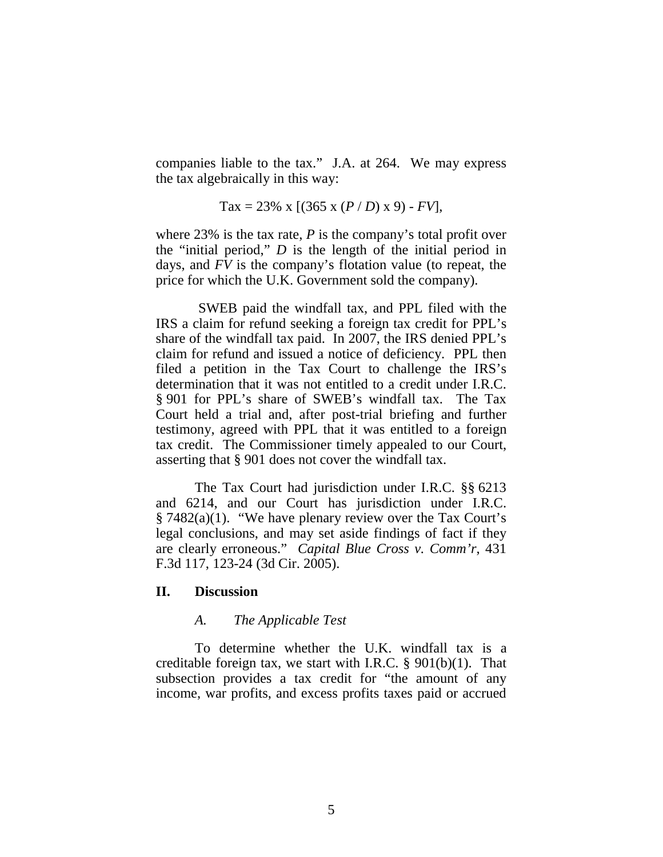companies liable to the tax." J.A. at 264. We may express the tax algebraically in this way:

$$
Tax = 23\% \times [(365 \times (P/D) \times 9) - FV],
$$

where 23% is the tax rate, *P* is the company's total profit over the "initial period," *D* is the length of the initial period in days, and *FV* is the company's flotation value (to repeat, the price for which the U.K. Government sold the company).

 SWEB paid the windfall tax, and PPL filed with the IRS a claim for refund seeking a foreign tax credit for PPL's share of the windfall tax paid. In 2007, the IRS denied PPL's claim for refund and issued a notice of deficiency. PPL then filed a petition in the Tax Court to challenge the IRS's determination that it was not entitled to a credit under I.R.C. § 901 for PPL's share of SWEB's windfall tax. The Tax Court held a trial and, after post-trial briefing and further testimony, agreed with PPL that it was entitled to a foreign tax credit. The Commissioner timely appealed to our Court, asserting that § 901 does not cover the windfall tax.

The Tax Court had jurisdiction under I.R.C. §§ 6213 and 6214, and our Court has jurisdiction under I.R.C. § 7482(a)(1). "We have plenary review over the Tax Court's legal conclusions, and may set aside findings of fact if they are clearly erroneous." *Capital Blue Cross v. Comm'r*, 431 F.3d 117, 123-24 (3d Cir. 2005).

### **II. Discussion**

### *A. The Applicable Test*

To determine whether the U.K. windfall tax is a creditable foreign tax, we start with I.R.C.  $\S 901(b)(1)$ . That subsection provides a tax credit for "the amount of any income, war profits, and excess profits taxes paid or accrued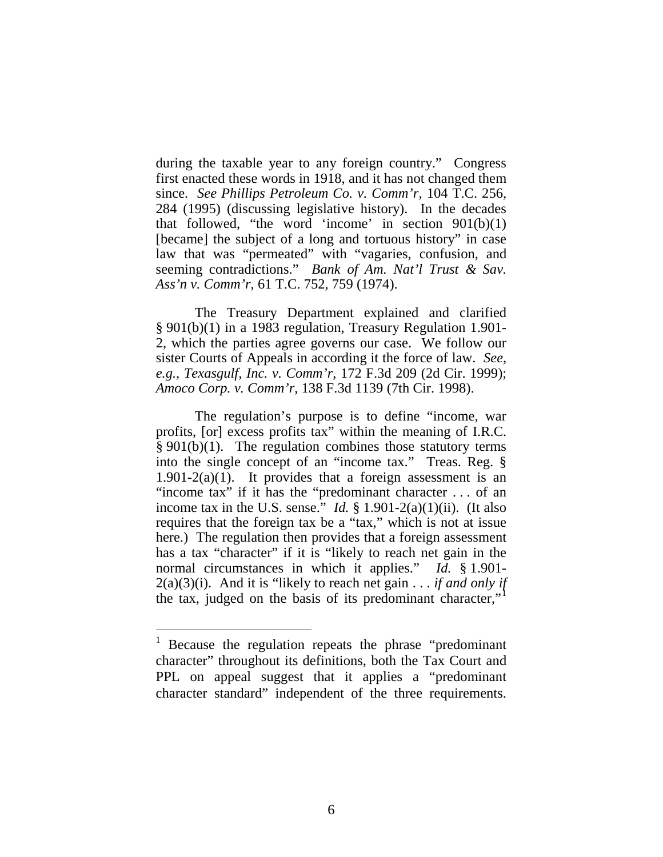during the taxable year to any foreign country." Congress first enacted these words in 1918, and it has not changed them since. *See Phillips Petroleum Co. v. Comm'r*, 104 T.C. 256, 284 (1995) (discussing legislative history). In the decades that followed, "the word 'income' in section  $901(b)(1)$ [became] the subject of a long and tortuous history" in case law that was "permeated" with "vagaries, confusion, and seeming contradictions." *Bank of Am. Nat'l Trust & Sav. Ass'n v. Comm'r*, 61 T.C. 752, 759 (1974).

 The Treasury Department explained and clarified § 901(b)(1) in a 1983 regulation, Treasury Regulation 1.901- 2, which the parties agree governs our case. We follow our sister Courts of Appeals in according it the force of law. *See, e.g.*, *Texasgulf, Inc. v. Comm'r*, 172 F.3d 209 (2d Cir. 1999); *Amoco Corp. v. Comm'r*, 138 F.3d 1139 (7th Cir. 1998).

The regulation's purpose is to define "income, war profits, [or] excess profits tax" within the meaning of I.R.C.  $§ 901(b)(1)$ . The regulation combines those statutory terms into the single concept of an "income tax." Treas. Reg. §  $1.901-2(a)(1)$ . It provides that a foreign assessment is an "income tax" if it has the "predominant character . . . of an income tax in the U.S. sense." *Id.* § 1.901-2(a)(1)(ii). (It also requires that the foreign tax be a "tax," which is not at issue here.) The regulation then provides that a foreign assessment has a tax "character" if it is "likely to reach net gain in the normal circumstances in which it applies." *Id.* § 1.901- 2(a)(3)(i). And it is "likely to reach net gain . . . *if and only if* the tax, judged on the basis of its predominant character,"

 $\overline{a}$ 

<span id="page-5-0"></span> $1$  Because the regulation repeats the phrase "predominant" character" throughout its definitions, both the Tax Court and PPL on appeal suggest that it applies a "predominant character standard" independent of the three requirements.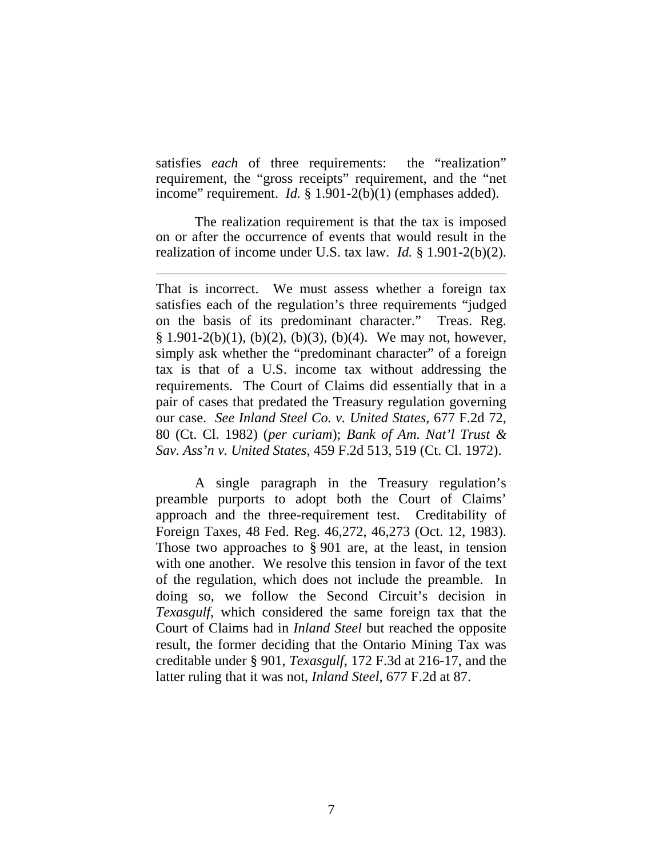satisfies *each* of three requirements: the "realization" requirement, the "gross receipts" requirement, and the "net income" requirement. *Id.* § 1.901-2(b)(1) (emphases added).

 The realization requirement is that the tax is imposed on or after the occurrence of events that would result in the realization of income under U.S. tax law. *Id.* § 1.901-2(b)(2).

 $\overline{a}$ 

That is incorrect. We must assess whether a foreign tax satisfies each of the regulation's three requirements "judged on the basis of its predominant character." Treas. Reg.  $§ 1.901-2(b)(1), (b)(2), (b)(3), (b)(4).$  We may not, however, simply ask whether the "predominant character" of a foreign tax is that of a U.S. income tax without addressing the requirements. The Court of Claims did essentially that in a pair of cases that predated the Treasury regulation governing our case. *See Inland Steel Co. v. United States*, 677 F.2d 72, 80 (Ct. Cl. 1982) (*per curiam*); *Bank of Am. Nat'l Trust & Sav. Ass'n v. United States*, 459 F.2d 513, 519 (Ct. Cl. 1972).

A single paragraph in the Treasury regulation's preamble purports to adopt both the Court of Claims' approach and the three-requirement test. Creditability of Foreign Taxes, 48 Fed. Reg. 46,272, 46,273 (Oct. 12, 1983). Those two approaches to § 901 are, at the least, in tension with one another. We resolve this tension in favor of the text of the regulation, which does not include the preamble. In doing so, we follow the Second Circuit's decision in *Texasgulf*, which considered the same foreign tax that the Court of Claims had in *Inland Steel* but reached the opposite result, the former deciding that the Ontario Mining Tax was creditable under § 901, *Texasgulf*, 172 F.3d at 216-17, and the latter ruling that it was not, *Inland Steel*, 677 F.2d at 87.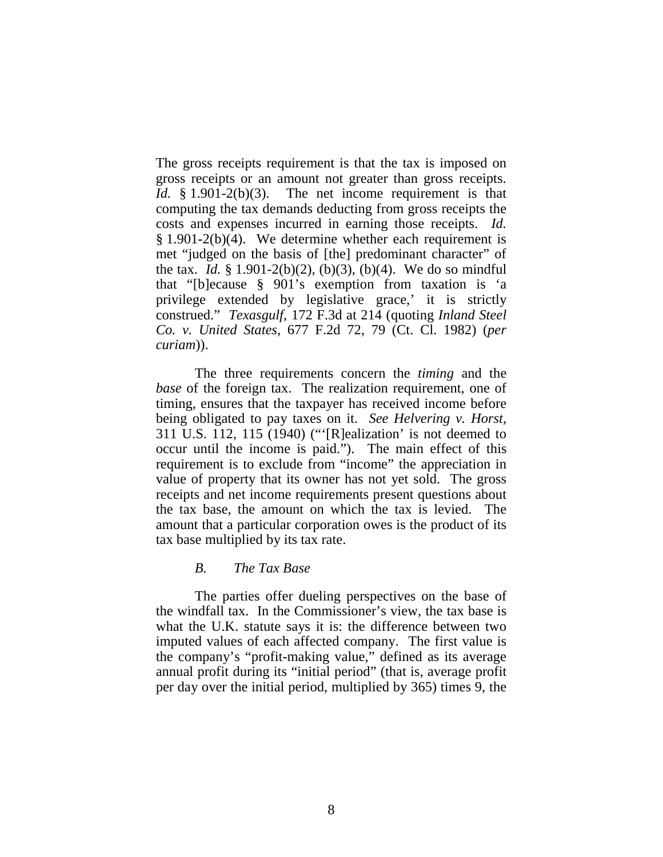The gross receipts requirement is that the tax is imposed on gross receipts or an amount not greater than gross receipts. *Id.* § 1.901-2(b)(3). The net income requirement is that computing the tax demands deducting from gross receipts the costs and expenses incurred in earning those receipts. *Id.*  $§$  1.901-2(b)(4). We determine whether each requirement is met "judged on the basis of [the] predominant character" of the tax. *Id.* § 1.901-2(b)(2), (b)(3), (b)(4). We do so mindful that "[b]ecause § 901's exemption from taxation is 'a privilege extended by legislative grace,' it is strictly construed." *Texasgulf*, 172 F.3d at 214 (quoting *Inland Steel Co. v. United States*, 677 F.2d 72, 79 (Ct. Cl. 1982) (*per curiam*)).

 The three requirements concern the *timing* and the *base* of the foreign tax. The realization requirement, one of timing, ensures that the taxpayer has received income before being obligated to pay taxes on it. *See Helvering v. Horst*, 311 U.S. 112, 115 (1940) ("'[R]ealization' is not deemed to occur until the income is paid."). The main effect of this requirement is to exclude from "income" the appreciation in value of property that its owner has not yet sold. The gross receipts and net income requirements present questions about the tax base, the amount on which the tax is levied. The amount that a particular corporation owes is the product of its tax base multiplied by its tax rate.

### *B. The Tax Base*

The parties offer dueling perspectives on the base of the windfall tax. In the Commissioner's view, the tax base is what the U.K. statute says it is: the difference between two imputed values of each affected company. The first value is the company's "profit-making value," defined as its average annual profit during its "initial period" (that is, average profit per day over the initial period, multiplied by 365) times 9, the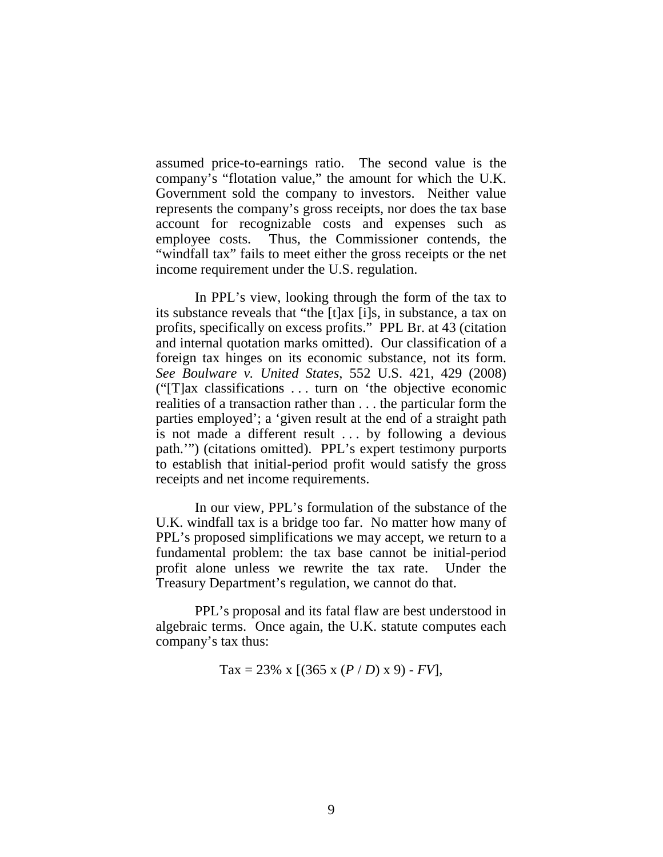assumed price-to-earnings ratio. The second value is the company's "flotation value," the amount for which the U.K. Government sold the company to investors. Neither value represents the company's gross receipts, nor does the tax base account for recognizable costs and expenses such as employee costs. Thus, the Commissioner contends, the "windfall tax" fails to meet either the gross receipts or the net income requirement under the U.S. regulation.

In PPL's view, looking through the form of the tax to its substance reveals that "the [t]ax [i]s, in substance, a tax on profits, specifically on excess profits." PPL Br. at 43 (citation and internal quotation marks omitted). Our classification of a foreign tax hinges on its economic substance, not its form. *See Boulware v. United States*, 552 U.S. 421, 429 (2008) ("[T]ax classifications . . . turn on 'the objective economic realities of a transaction rather than . . . the particular form the parties employed'; a 'given result at the end of a straight path is not made a different result . . . by following a devious path.'") (citations omitted). PPL's expert testimony purports to establish that initial-period profit would satisfy the gross receipts and net income requirements.

In our view, PPL's formulation of the substance of the U.K. windfall tax is a bridge too far. No matter how many of PPL's proposed simplifications we may accept, we return to a fundamental problem: the tax base cannot be initial-period profit alone unless we rewrite the tax rate. Under the Treasury Department's regulation, we cannot do that.

 PPL's proposal and its fatal flaw are best understood in algebraic terms. Once again, the U.K. statute computes each company's tax thus:

$$
Tax = 23\% \times [(365 \times (P/D) \times 9) - FV],
$$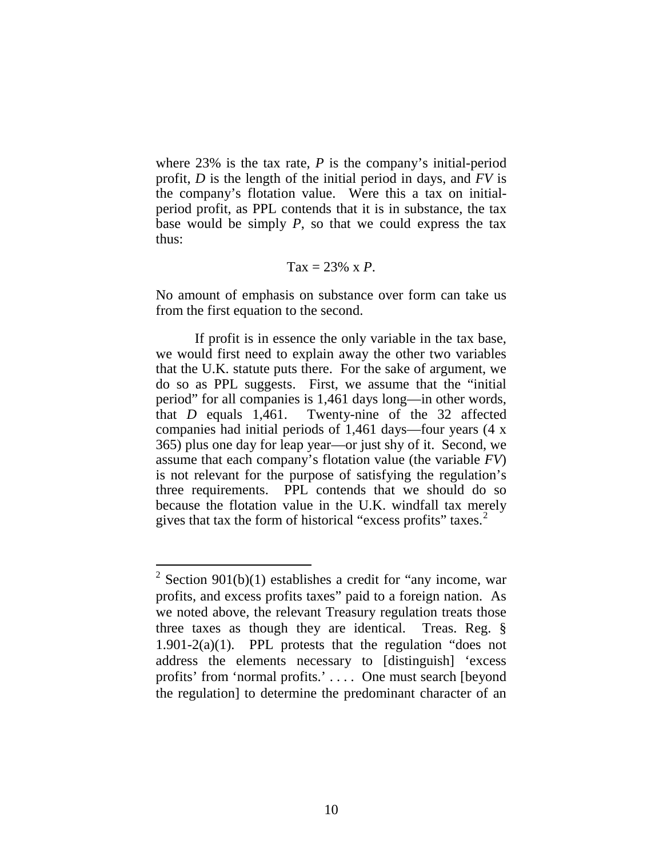where 23% is the tax rate, *P* is the company's initial-period profit, *D* is the length of the initial period in days, and *FV* is the company's flotation value. Were this a tax on initialperiod profit, as PPL contends that it is in substance, the tax base would be simply *P*, so that we could express the tax thus:

$$
Tax = 23\% \times P.
$$

No amount of emphasis on substance over form can take us from the first equation to the second.

If profit is in essence the only variable in the tax base, we would first need to explain away the other two variables that the U.K. statute puts there. For the sake of argument, we do so as PPL suggests. First, we assume that the "initial period" for all companies is 1,461 days long—in other words, that *D* equals 1,461. Twenty-nine of the 32 affected companies had initial periods of 1,461 days—four years (4 x 365) plus one day for leap year—or just shy of it. Second, we assume that each company's flotation value (the variable *FV*) is not relevant for the purpose of satisfying the regulation's three requirements. PPL contends that we should do so because the flotation value in the U.K. windfall tax merely gives that tax the form of historical "excess profits" taxes.<sup>[2](#page-9-0)</sup>

 $\overline{a}$ 

<span id="page-9-0"></span><sup>&</sup>lt;sup>2</sup> Section 901(b)(1) establishes a credit for "any income, war profits, and excess profits taxes" paid to a foreign nation. As we noted above, the relevant Treasury regulation treats those three taxes as though they are identical. Treas. Reg. § 1.901-2(a)(1). PPL protests that the regulation "does not address the elements necessary to [distinguish] 'excess profits' from 'normal profits.' . . . . One must search [beyond the regulation] to determine the predominant character of an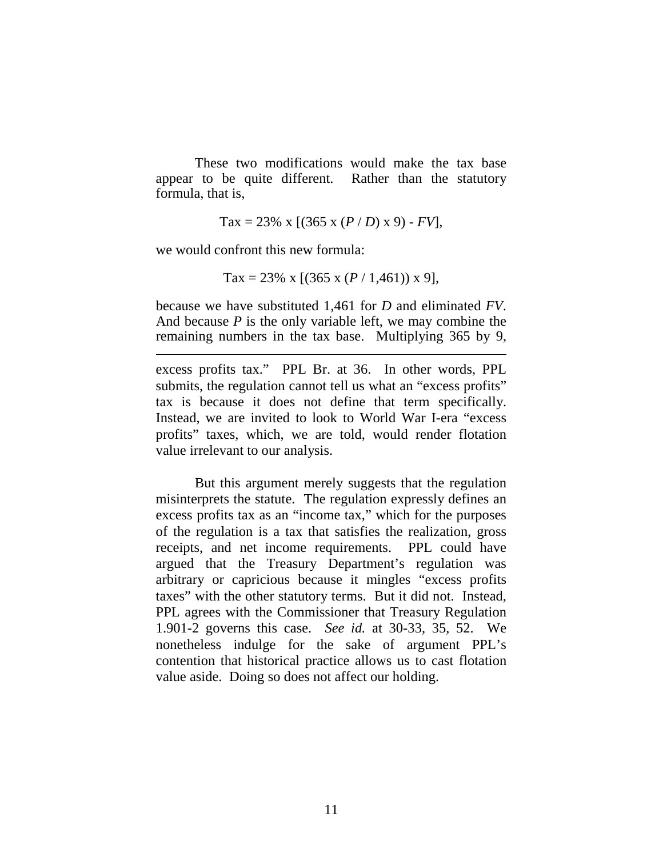These two modifications would make the tax base appear to be quite different. Rather than the statutory formula, that is,

Tax = 23% x  $[(365 \times (P/D) \times 9) - FV]$ ,

we would confront this new formula:

 $\overline{a}$ 

$$
Tax = 23\% \times [(365 \times (P / 1,461)) \times 9],
$$

because we have substituted 1,461 for *D* and eliminated *FV*. And because *P* is the only variable left, we may combine the remaining numbers in the tax base. Multiplying 365 by 9,

excess profits tax." PPL Br. at 36. In other words, PPL submits, the regulation cannot tell us what an "excess profits" tax is because it does not define that term specifically. Instead, we are invited to look to World War I-era "excess profits" taxes, which, we are told, would render flotation value irrelevant to our analysis.

But this argument merely suggests that the regulation misinterprets the statute. The regulation expressly defines an excess profits tax as an "income tax," which for the purposes of the regulation is a tax that satisfies the realization, gross receipts, and net income requirements. PPL could have argued that the Treasury Department's regulation was arbitrary or capricious because it mingles "excess profits taxes" with the other statutory terms. But it did not. Instead, PPL agrees with the Commissioner that Treasury Regulation 1.901-2 governs this case. *See id.* at 30-33, 35, 52. We nonetheless indulge for the sake of argument PPL's contention that historical practice allows us to cast flotation value aside. Doing so does not affect our holding.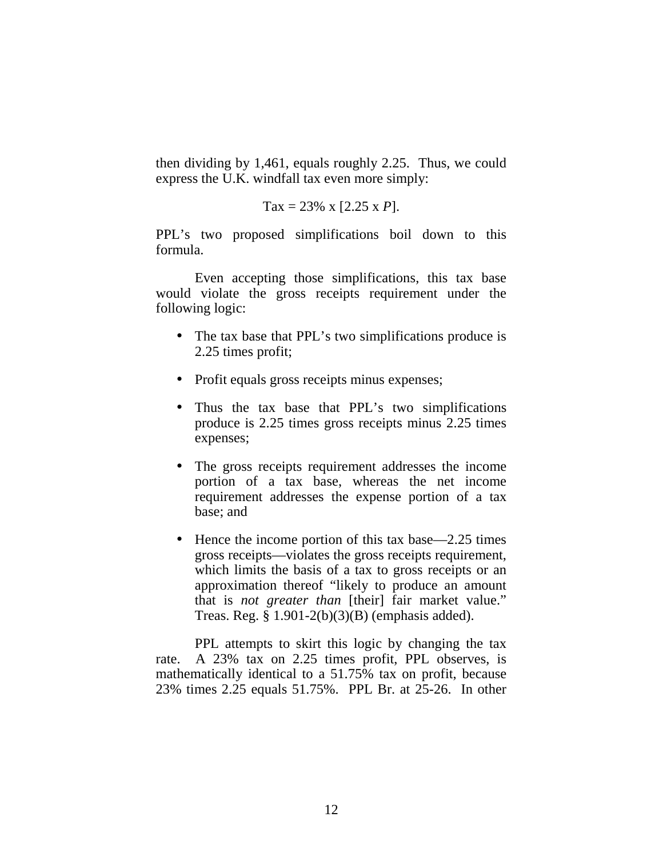then dividing by 1,461, equals roughly 2.25. Thus, we could express the U.K. windfall tax even more simply:

$$
Tax = 23\% \times [2.25 \times P].
$$

PPL's two proposed simplifications boil down to this formula.

Even accepting those simplifications, this tax base would violate the gross receipts requirement under the following logic:

- $\mathbf{r}$ The tax base that PPL's two simplifications produce is 2.25 times profit;
- Profit equals gross receipts minus expenses;
- Thus the tax base that PPL's two simplifications produce is 2.25 times gross receipts minus 2.25 times expenses;
- The gross receipts requirement addresses the income portion of a tax base, whereas the net income requirement addresses the expense portion of a tax base; and
- $\mathbf{r}$ Hence the income portion of this tax base—2.25 times gross receipts—violates the gross receipts requirement, which limits the basis of a tax to gross receipts or an approximation thereof "likely to produce an amount that is *not greater than* [their] fair market value." Treas. Reg. § 1.901-2(b)(3)(B) (emphasis added).

PPL attempts to skirt this logic by changing the tax rate. A 23% tax on 2.25 times profit, PPL observes, is mathematically identical to a 51.75% tax on profit, because 23% times 2.25 equals 51.75%. PPL Br. at 25-26. In other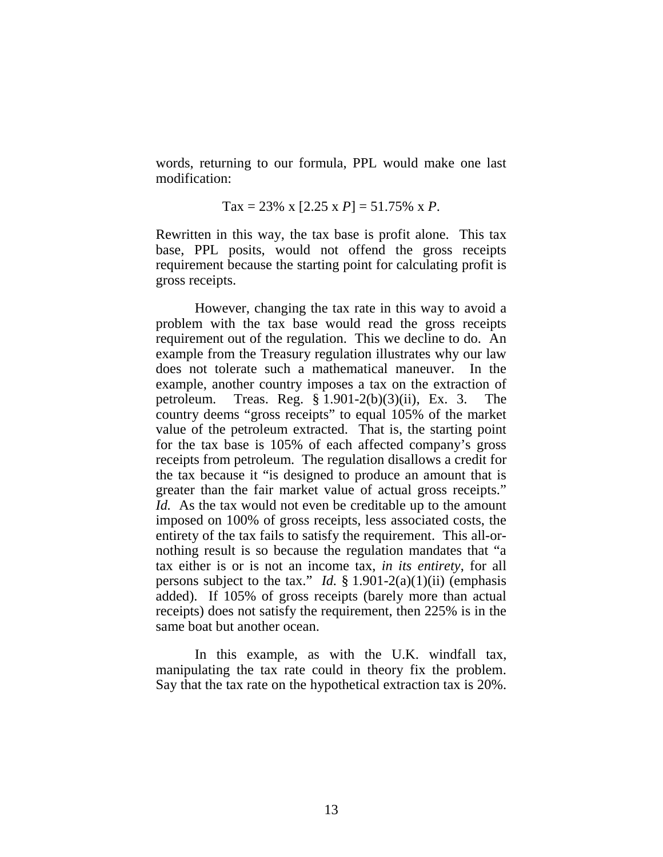words, returning to our formula, PPL would make one last modification:

$$
Tax = 23\% \times [2.25 \times P] = 51.75\% \times P.
$$

Rewritten in this way, the tax base is profit alone. This tax base, PPL posits, would not offend the gross receipts requirement because the starting point for calculating profit is gross receipts.

 However, changing the tax rate in this way to avoid a problem with the tax base would read the gross receipts requirement out of the regulation. This we decline to do. An example from the Treasury regulation illustrates why our law does not tolerate such a mathematical maneuver. In the example, another country imposes a tax on the extraction of petroleum. Treas. Reg. § 1.901-2(b)(3)(ii), Ex. 3. The country deems "gross receipts" to equal 105% of the market value of the petroleum extracted. That is, the starting point for the tax base is 105% of each affected company's gross receipts from petroleum. The regulation disallows a credit for the tax because it "is designed to produce an amount that is greater than the fair market value of actual gross receipts." *Id.* As the tax would not even be creditable up to the amount imposed on 100% of gross receipts, less associated costs, the entirety of the tax fails to satisfy the requirement. This all-ornothing result is so because the regulation mandates that "a tax either is or is not an income tax, *in its entirety*, for all persons subject to the tax." *Id.*  $\S 1.901-2(a)(1)(ii)$  (emphasis added). If 105% of gross receipts (barely more than actual receipts) does not satisfy the requirement, then 225% is in the same boat but another ocean.

In this example, as with the U.K. windfall tax, manipulating the tax rate could in theory fix the problem. Say that the tax rate on the hypothetical extraction tax is 20%.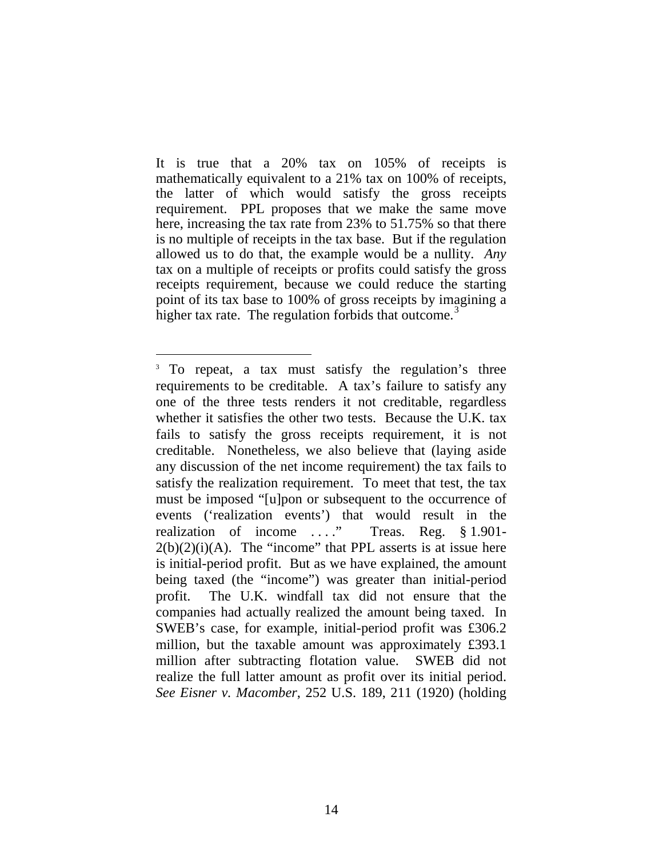It is true that a 20% tax on 105% of receipts is mathematically equivalent to a 21% tax on 100% of receipts, the latter of which would satisfy the gross receipts requirement. PPL proposes that we make the same move here, increasing the tax rate from 23% to 51.75% so that there is no multiple of receipts in the tax base. But if the regulation allowed us to do that, the example would be a nullity. *Any* tax on a multiple of receipts or profits could satisfy the gross receipts requirement, because we could reduce the starting point of its tax base to 100% of gross receipts by imagining a higher tax rate. The regulation forbids that outcome.<sup>[3](#page-13-0)</sup>

 $\overline{a}$ 

<span id="page-13-0"></span><sup>&</sup>lt;sup>3</sup> To repeat, a tax must satisfy the regulation's three requirements to be creditable. A tax's failure to satisfy any one of the three tests renders it not creditable, regardless whether it satisfies the other two tests. Because the U.K. tax fails to satisfy the gross receipts requirement, it is not creditable. Nonetheless, we also believe that (laying aside any discussion of the net income requirement) the tax fails to satisfy the realization requirement. To meet that test, the tax must be imposed "[u]pon or subsequent to the occurrence of events ('realization events') that would result in the realization of income ...." Treas. Reg. § 1.901- $2(b)(2)(i)(A)$ . The "income" that PPL asserts is at issue here is initial-period profit. But as we have explained, the amount being taxed (the "income") was greater than initial-period profit. The U.K. windfall tax did not ensure that the companies had actually realized the amount being taxed. In SWEB's case, for example, initial-period profit was £306.2 million, but the taxable amount was approximately £393.1 million after subtracting flotation value. SWEB did not realize the full latter amount as profit over its initial period. *See Eisner v. Macomber*, 252 U.S. 189, 211 (1920) (holding